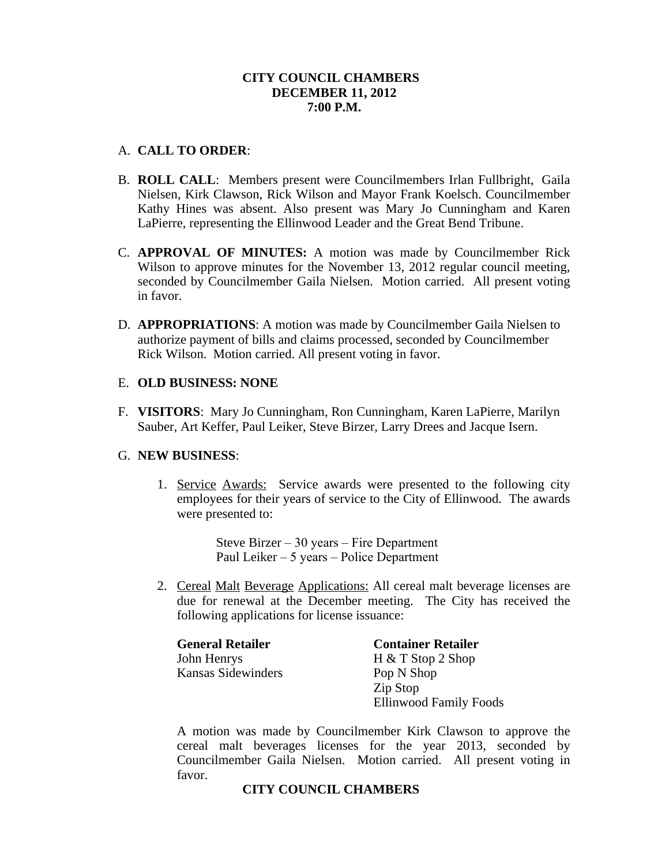### **CITY COUNCIL CHAMBERS DECEMBER 11, 2012 7:00 P.M.**

### A. **CALL TO ORDER**:

- B. **ROLL CALL**: Members present were Councilmembers Irlan Fullbright, Gaila Nielsen, Kirk Clawson, Rick Wilson and Mayor Frank Koelsch. Councilmember Kathy Hines was absent. Also present was Mary Jo Cunningham and Karen LaPierre, representing the Ellinwood Leader and the Great Bend Tribune.
- C. **APPROVAL OF MINUTES:** A motion was made by Councilmember Rick Wilson to approve minutes for the November 13, 2012 regular council meeting, seconded by Councilmember Gaila Nielsen. Motion carried. All present voting in favor.
- D. **APPROPRIATIONS**: A motion was made by Councilmember Gaila Nielsen to authorize payment of bills and claims processed, seconded by Councilmember Rick Wilson. Motion carried. All present voting in favor.

### E. **OLD BUSINESS: NONE**

F. **VISITORS**: Mary Jo Cunningham, Ron Cunningham, Karen LaPierre, Marilyn Sauber, Art Keffer, Paul Leiker, Steve Birzer, Larry Drees and Jacque Isern.

### G. **NEW BUSINESS**:

1. Service Awards: Service awards were presented to the following city employees for their years of service to the City of Ellinwood. The awards were presented to:

> Steve Birzer – 30 years – Fire Department Paul Leiker – 5 years – Police Department

2. Cereal Malt Beverage Applications: All cereal malt beverage licenses are due for renewal at the December meeting. The City has received the following applications for license issuance:

| <b>General Retailer</b> | <b>Container Retailer</b> |
|-------------------------|---------------------------|
| John Henrys             | $H & T$ Stop 2 Shop       |
| Kansas Sidewinders      | Pop N Shop                |
|                         | Zip Stop                  |
|                         | Ellinwood Family Foods    |

A motion was made by Councilmember Kirk Clawson to approve the cereal malt beverages licenses for the year 2013, seconded by Councilmember Gaila Nielsen. Motion carried. All present voting in favor.

### **CITY COUNCIL CHAMBERS**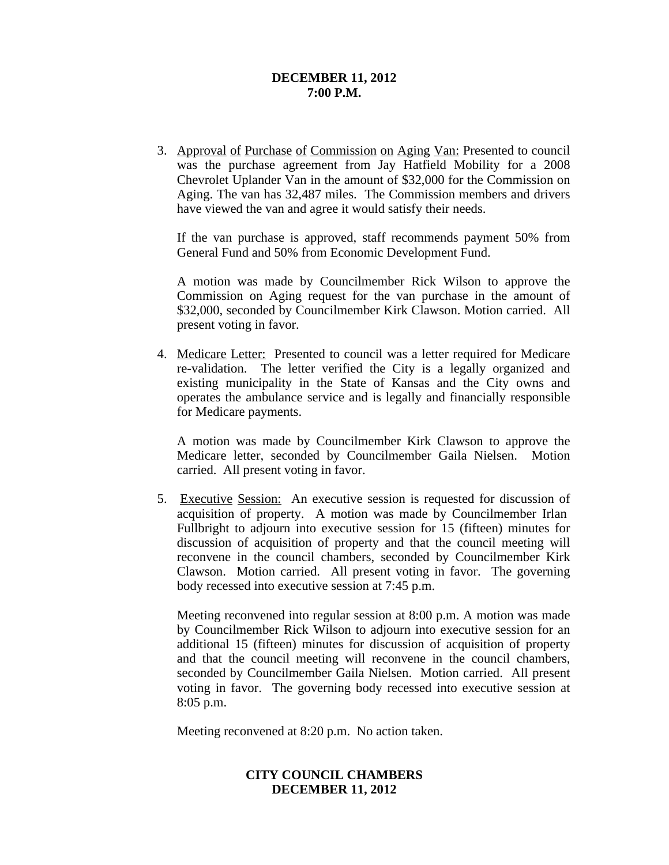#### **DECEMBER 11, 2012 7:00 P.M.**

3. Approval of Purchase of Commission on Aging Van: Presented to council was the purchase agreement from Jay Hatfield Mobility for a 2008 Chevrolet Uplander Van in the amount of \$32,000 for the Commission on Aging. The van has 32,487 miles. The Commission members and drivers have viewed the van and agree it would satisfy their needs.

If the van purchase is approved, staff recommends payment 50% from General Fund and 50% from Economic Development Fund.

A motion was made by Councilmember Rick Wilson to approve the Commission on Aging request for the van purchase in the amount of \$32,000, seconded by Councilmember Kirk Clawson. Motion carried. All present voting in favor.

4. Medicare Letter: Presented to council was a letter required for Medicare re-validation. The letter verified the City is a legally organized and existing municipality in the State of Kansas and the City owns and operates the ambulance service and is legally and financially responsible for Medicare payments.

A motion was made by Councilmember Kirk Clawson to approve the Medicare letter, seconded by Councilmember Gaila Nielsen. Motion carried. All present voting in favor.

5. Executive Session: An executive session is requested for discussion of acquisition of property. A motion was made by Councilmember Irlan Fullbright to adjourn into executive session for 15 (fifteen) minutes for discussion of acquisition of property and that the council meeting will reconvene in the council chambers, seconded by Councilmember Kirk Clawson. Motion carried. All present voting in favor. The governing body recessed into executive session at 7:45 p.m.

Meeting reconvened into regular session at 8:00 p.m. A motion was made by Councilmember Rick Wilson to adjourn into executive session for an additional 15 (fifteen) minutes for discussion of acquisition of property and that the council meeting will reconvene in the council chambers, seconded by Councilmember Gaila Nielsen. Motion carried. All present voting in favor. The governing body recessed into executive session at 8:05 p.m.

Meeting reconvened at 8:20 p.m. No action taken.

# **CITY COUNCIL CHAMBERS DECEMBER 11, 2012**